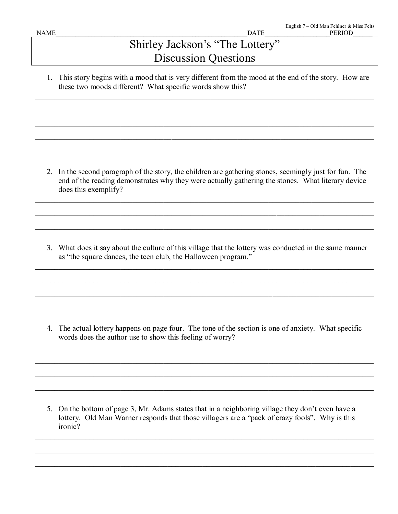## Shirley Jackson's "The Lottery" Discussion Questions

1. This story begins with a mood that is very different from the mood at the end of the story. How are these two moods different? What specific words show this?

\_\_\_\_\_\_\_\_\_\_\_\_\_\_\_\_\_\_\_\_\_\_\_\_\_\_\_\_\_\_\_\_\_\_\_\_\_\_\_\_\_\_\_\_\_\_\_\_\_\_\_\_\_\_\_\_\_\_\_\_\_\_\_\_\_\_\_\_\_\_\_\_\_\_\_\_\_\_\_\_\_\_\_\_\_\_\_

\_\_\_\_\_\_\_\_\_\_\_\_\_\_\_\_\_\_\_\_\_\_\_\_\_\_\_\_\_\_\_\_\_\_\_\_\_\_\_\_\_\_\_\_\_\_\_\_\_\_\_\_\_\_\_\_\_\_\_\_\_\_\_\_\_\_\_\_\_\_\_\_\_\_\_\_\_\_\_\_\_\_\_\_\_\_\_

\_\_\_\_\_\_\_\_\_\_\_\_\_\_\_\_\_\_\_\_\_\_\_\_\_\_\_\_\_\_\_\_\_\_\_\_\_\_\_\_\_\_\_\_\_\_\_\_\_\_\_\_\_\_\_\_\_\_\_\_\_\_\_\_\_\_\_\_\_\_\_\_\_\_\_\_\_\_\_\_\_\_\_\_\_\_\_

\_\_\_\_\_\_\_\_\_\_\_\_\_\_\_\_\_\_\_\_\_\_\_\_\_\_\_\_\_\_\_\_\_\_\_\_\_\_\_\_\_\_\_\_\_\_\_\_\_\_\_\_\_\_\_\_\_\_\_\_\_\_\_\_\_\_\_\_\_\_\_\_\_\_\_\_\_\_\_\_\_\_\_\_\_\_\_

\_\_\_\_\_\_\_\_\_\_\_\_\_\_\_\_\_\_\_\_\_\_\_\_\_\_\_\_\_\_\_\_\_\_\_\_\_\_\_\_\_\_\_\_\_\_\_\_\_\_\_\_\_\_\_\_\_\_\_\_\_\_\_\_\_\_\_\_\_\_\_\_\_\_\_\_\_\_\_\_\_\_\_\_\_\_\_

2. In the second paragraph of the story, the children are gathering stones, seemingly just for fun. The end of the reading demonstrates why they were actually gathering the stones. What literary device does this exemplify?

\_\_\_\_\_\_\_\_\_\_\_\_\_\_\_\_\_\_\_\_\_\_\_\_\_\_\_\_\_\_\_\_\_\_\_\_\_\_\_\_\_\_\_\_\_\_\_\_\_\_\_\_\_\_\_\_\_\_\_\_\_\_\_\_\_\_\_\_\_\_\_\_\_\_\_\_\_\_\_\_\_\_\_\_\_\_\_

\_\_\_\_\_\_\_\_\_\_\_\_\_\_\_\_\_\_\_\_\_\_\_\_\_\_\_\_\_\_\_\_\_\_\_\_\_\_\_\_\_\_\_\_\_\_\_\_\_\_\_\_\_\_\_\_\_\_\_\_\_\_\_\_\_\_\_\_\_\_\_\_\_\_\_\_\_\_\_\_\_\_\_\_\_\_\_

\_\_\_\_\_\_\_\_\_\_\_\_\_\_\_\_\_\_\_\_\_\_\_\_\_\_\_\_\_\_\_\_\_\_\_\_\_\_\_\_\_\_\_\_\_\_\_\_\_\_\_\_\_\_\_\_\_\_\_\_\_\_\_\_\_\_\_\_\_\_\_\_\_\_\_\_\_\_\_\_\_\_\_\_\_\_\_

3. What does it say about the culture of this village that the lottery was conducted in the same manner as "the square dances, the teen club, the Halloween program."

\_\_\_\_\_\_\_\_\_\_\_\_\_\_\_\_\_\_\_\_\_\_\_\_\_\_\_\_\_\_\_\_\_\_\_\_\_\_\_\_\_\_\_\_\_\_\_\_\_\_\_\_\_\_\_\_\_\_\_\_\_\_\_\_\_\_\_\_\_\_\_\_\_\_\_\_\_\_\_\_\_\_\_\_\_\_\_

\_\_\_\_\_\_\_\_\_\_\_\_\_\_\_\_\_\_\_\_\_\_\_\_\_\_\_\_\_\_\_\_\_\_\_\_\_\_\_\_\_\_\_\_\_\_\_\_\_\_\_\_\_\_\_\_\_\_\_\_\_\_\_\_\_\_\_\_\_\_\_\_\_\_\_\_\_\_\_\_\_\_\_\_\_\_\_

\_\_\_\_\_\_\_\_\_\_\_\_\_\_\_\_\_\_\_\_\_\_\_\_\_\_\_\_\_\_\_\_\_\_\_\_\_\_\_\_\_\_\_\_\_\_\_\_\_\_\_\_\_\_\_\_\_\_\_\_\_\_\_\_\_\_\_\_\_\_\_\_\_\_\_\_\_\_\_\_\_\_\_\_\_\_\_

\_\_\_\_\_\_\_\_\_\_\_\_\_\_\_\_\_\_\_\_\_\_\_\_\_\_\_\_\_\_\_\_\_\_\_\_\_\_\_\_\_\_\_\_\_\_\_\_\_\_\_\_\_\_\_\_\_\_\_\_\_\_\_\_\_\_\_\_\_\_\_\_\_\_\_\_\_\_\_\_\_\_\_\_\_\_\_

4. The actual lottery happens on page four. The tone of the section is one of anxiety. What specific words does the author use to show this feeling of worry?

\_\_\_\_\_\_\_\_\_\_\_\_\_\_\_\_\_\_\_\_\_\_\_\_\_\_\_\_\_\_\_\_\_\_\_\_\_\_\_\_\_\_\_\_\_\_\_\_\_\_\_\_\_\_\_\_\_\_\_\_\_\_\_\_\_\_\_\_\_\_\_\_\_\_\_\_\_\_\_\_\_\_\_\_\_\_\_

\_\_\_\_\_\_\_\_\_\_\_\_\_\_\_\_\_\_\_\_\_\_\_\_\_\_\_\_\_\_\_\_\_\_\_\_\_\_\_\_\_\_\_\_\_\_\_\_\_\_\_\_\_\_\_\_\_\_\_\_\_\_\_\_\_\_\_\_\_\_\_\_\_\_\_\_\_\_\_\_\_\_\_\_\_\_\_

\_\_\_\_\_\_\_\_\_\_\_\_\_\_\_\_\_\_\_\_\_\_\_\_\_\_\_\_\_\_\_\_\_\_\_\_\_\_\_\_\_\_\_\_\_\_\_\_\_\_\_\_\_\_\_\_\_\_\_\_\_\_\_\_\_\_\_\_\_\_\_\_\_\_\_\_\_\_\_\_\_\_\_\_\_\_\_

\_\_\_\_\_\_\_\_\_\_\_\_\_\_\_\_\_\_\_\_\_\_\_\_\_\_\_\_\_\_\_\_\_\_\_\_\_\_\_\_\_\_\_\_\_\_\_\_\_\_\_\_\_\_\_\_\_\_\_\_\_\_\_\_\_\_\_\_\_\_\_\_\_\_\_\_\_\_\_\_\_\_\_\_\_\_\_

5. On the bottom of page 3, Mr. Adams states that in a neighboring village they don't even have a lottery. Old Man Warner responds that those villagers are a "pack of crazy fools". Why is this ironic?

\_\_\_\_\_\_\_\_\_\_\_\_\_\_\_\_\_\_\_\_\_\_\_\_\_\_\_\_\_\_\_\_\_\_\_\_\_\_\_\_\_\_\_\_\_\_\_\_\_\_\_\_\_\_\_\_\_\_\_\_\_\_\_\_\_\_\_\_\_\_\_\_\_\_\_\_\_\_\_\_\_\_\_\_\_\_\_

\_\_\_\_\_\_\_\_\_\_\_\_\_\_\_\_\_\_\_\_\_\_\_\_\_\_\_\_\_\_\_\_\_\_\_\_\_\_\_\_\_\_\_\_\_\_\_\_\_\_\_\_\_\_\_\_\_\_\_\_\_\_\_\_\_\_\_\_\_\_\_\_\_\_\_\_\_\_\_\_\_\_\_\_\_\_\_

\_\_\_\_\_\_\_\_\_\_\_\_\_\_\_\_\_\_\_\_\_\_\_\_\_\_\_\_\_\_\_\_\_\_\_\_\_\_\_\_\_\_\_\_\_\_\_\_\_\_\_\_\_\_\_\_\_\_\_\_\_\_\_\_\_\_\_\_\_\_\_\_\_\_\_\_\_\_\_\_\_\_\_\_\_\_\_

\_\_\_\_\_\_\_\_\_\_\_\_\_\_\_\_\_\_\_\_\_\_\_\_\_\_\_\_\_\_\_\_\_\_\_\_\_\_\_\_\_\_\_\_\_\_\_\_\_\_\_\_\_\_\_\_\_\_\_\_\_\_\_\_\_\_\_\_\_\_\_\_\_\_\_\_\_\_\_\_\_\_\_\_\_\_\_